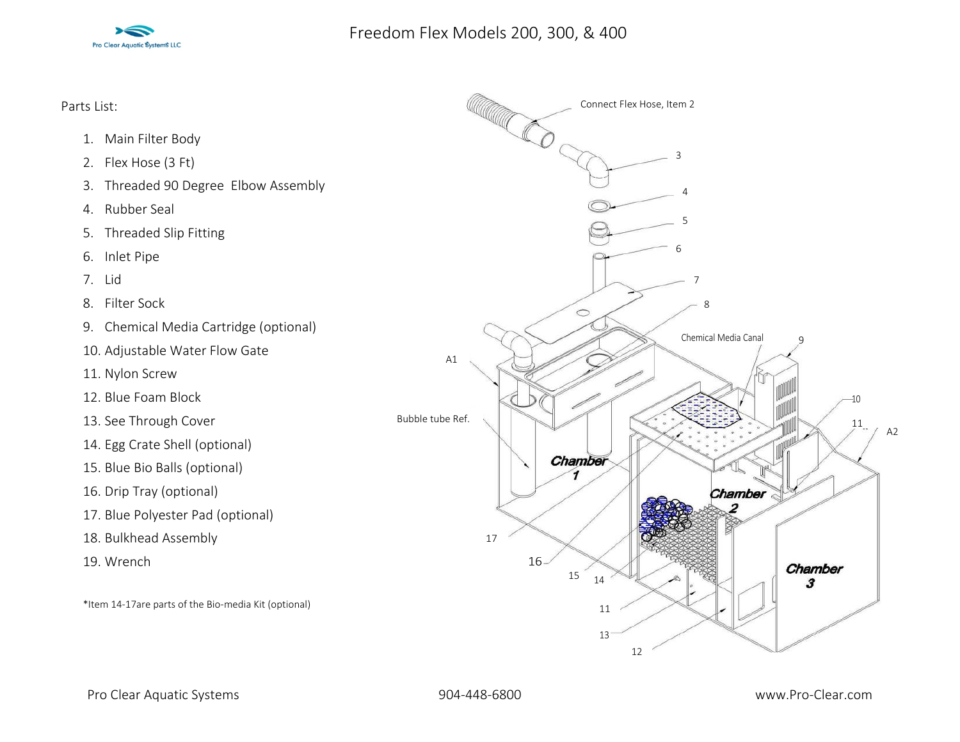

Parts List:

- 1. Main Filter Body
- 2. Flex Hose (3 Ft)
- 3. Threaded 90 Degree Elbow Assembly
- 4. Rubber Seal
- 5. Threaded Slip Fitting
- 6. Inlet Pipe
- 7. Lid
- 8. Filter Sock
- 9. Chemical Media Cartridge (optional)
- 10. Adjustable Water Flow Gate
- 11. Nylon Screw
- 12. Blue Foam Block
- 13. See Through Cover
- 14. Egg Crate Shell (optional)
- 15. Blue Bio Balls (optional)
- 16. Drip Tray (optional)
- 17. Blue Polyester Pad (optional)
- 18. Bulkhead Assembly
- 19. Wrench